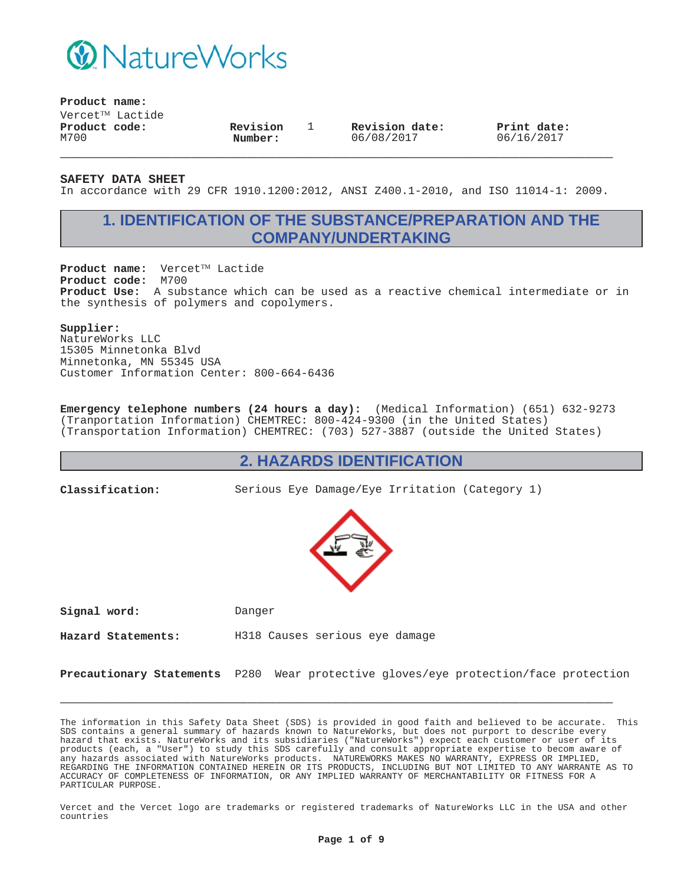

**Product name:**

 $V$ ercet $^{TM}$  Lactide **Product code:** M700

**Revision Number:**

1 **Revision date:** 06/08/2017

**Print date:** 06/16/2017

**SAFETY DATA SHEET**

In accordance with 29 CFR 1910.1200:2012, ANSI Z400.1-2010, and ISO 11014-1: 2009.

**\_\_\_\_\_\_\_\_\_\_\_\_\_\_\_\_\_\_\_\_\_\_\_\_\_\_\_\_\_\_\_\_\_\_\_\_\_\_\_\_\_\_\_\_\_\_\_\_\_\_\_\_\_\_\_\_\_\_\_**

## **1. IDENTIFICATION OF THE SUBSTANCE/PREPARATION AND THE COMPANY/UNDERTAKING**

Product name: Vercet™ Lactide **Product code:** M700 **Product Use:** A substance which can be used as a reactive chemical intermediate or in the synthesis of polymers and copolymers.

#### **Supplier:**

NatureWorks LLC 15305 Minnetonka Blvd Minnetonka, MN 55345 USA Customer Information Center: 800-664-6436

**Emergency telephone numbers (24 hours a day):** (Medical Information) (651) 632-9273 (Tranportation Information) CHEMTREC: 800-424-9300 (in the United States) (Transportation Information) CHEMTREC: (703) 527-3887 (outside the United States)

### **2. HAZARDS IDENTIFICATION**

**Classification:** Serious Eye Damage/Eye Irritation (Category 1)



**Signal word:** Danger

**Hazard Statements:** H318 Causes serious eye damage

**Precautionary Statements** P280 Wear protective gloves/eye protection/face protection

**\_\_\_\_\_\_\_\_\_\_\_\_\_\_\_\_\_\_\_\_\_\_\_\_\_\_\_\_\_\_\_\_\_\_\_\_\_\_\_\_\_\_\_\_\_\_\_\_\_\_\_\_\_\_\_\_\_\_\_**

The information in this Safety Data Sheet (SDS) is provided in good faith and believed to be accurate. This SDS contains a general summary of hazards known to NatureWorks, but does not purport to describe every hazard that exists. NatureWorks and its subsidiaries ("NatureWorks") expect each customer or user of its products (each, a "User") to study this SDS carefully and consult appropriate expertise to becom aware of any hazards associated with NatureWorks products. NATUREWORKS MAKES NO WARRANTY, EXPRESS OR IMPLIED, REGARDING THE INFORMATION CONTAINED HEREIN OR ITS PRODUCTS, INCLUDING BUT NOT LIMITED TO ANY WARRANTE AS TO ACCURACY OF COMPLETENESS OF INFORMATION, OR ANY IMPLIED WARRANTY OF MERCHANTABILITY OR FITNESS FOR A PARTICULAR PURPOSE.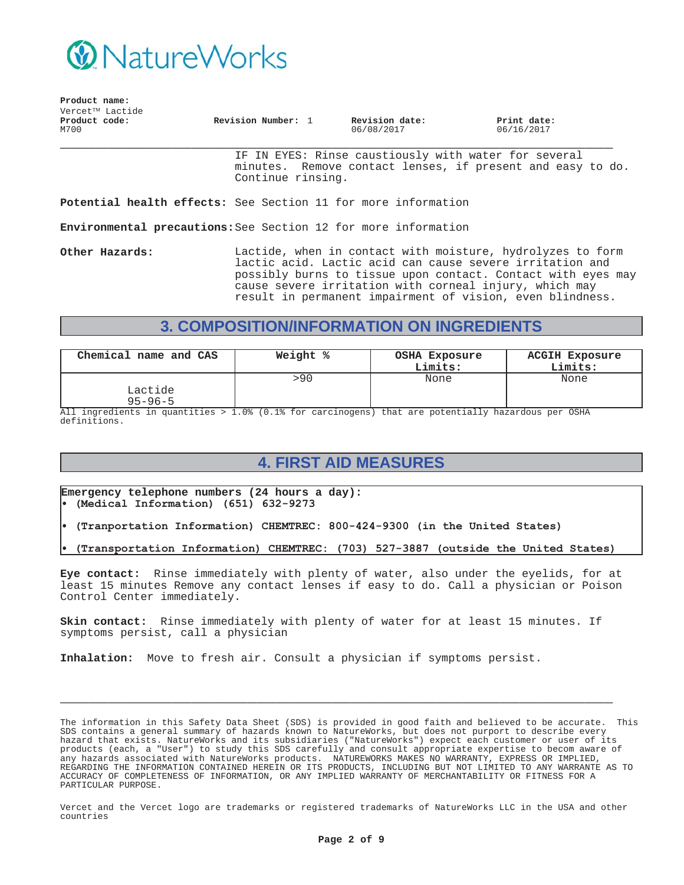

| Vercet™ Lactide<br>Product code:<br>M700 | Revision Number: 1 | Revision date:<br>06/08/2017 | Print date:<br>06/16/2017 |  |
|------------------------------------------|--------------------|------------------------------|---------------------------|--|
|                                          |                    |                              |                           |  |

IF IN EYES: Rinse caustiously with water for several minutes. Remove contact lenses, if present and easy to do. Continue rinsing.

**Potential health effects:** See Section 11 for more information

**Environmental precautions:**See Section 12 for more information

**Product name:**

**Other Hazards:** Lactide, when in contact with moisture, hydrolyzes to form lactic acid. Lactic acid can cause severe irritation and possibly burns to tissue upon contact. Contact with eyes may cause severe irritation with corneal injury, which may result in permanent impairment of vision, even blindness.

# **3. COMPOSITION/INFORMATION ON INGREDIENTS**

| Chemical name and CAS    | Weight % | OSHA Exposure<br>Limits: | <b>ACGIH Exposure</b><br>Limits: |
|--------------------------|----------|--------------------------|----------------------------------|
| Lactide<br>$95 - 96 - 5$ | >90      | None                     | None                             |

All ingredients in quantities > 1.0% (0.1% for carcinogens) that are potentially hazardous per OSHA definitions.

# **4. FIRST AID MEASURES**

**Emergency telephone numbers (24 hours a day):** (Medical Information) (651) 632-9273

- (Tranportation Information) CHEMTREC: 800-424-9300 (in the United States)
- (Transportation Information) CHEMTREC: (703) 527-3887 (outside the United States)

**Eye contact:** Rinse immediately with plenty of water, also under the eyelids, for at least 15 minutes Remove any contact lenses if easy to do. Call a physician or Poison Control Center immediately.

**Skin contact:** Rinse immediately with plenty of water for at least 15 minutes. If symptoms persist, call a physician

**\_\_\_\_\_\_\_\_\_\_\_\_\_\_\_\_\_\_\_\_\_\_\_\_\_\_\_\_\_\_\_\_\_\_\_\_\_\_\_\_\_\_\_\_\_\_\_\_\_\_\_\_\_\_\_\_\_\_\_**

**Inhalation:** Move to fresh air. Consult a physician if symptoms persist.

The information in this Safety Data Sheet (SDS) is provided in good faith and believed to be accurate. This SDS contains a general summary of hazards known to NatureWorks, but does not purport to describe every hazard that exists. NatureWorks and its subsidiaries ("NatureWorks") expect each customer or user of its products (each, a "User") to study this SDS carefully and consult appropriate expertise to becom aware of any hazards associated with NatureWorks products. NATUREWORKS MAKES NO WARRANTY, EXPRESS OR IMPLIED, REGARDING THE INFORMATION CONTAINED HEREIN OR ITS PRODUCTS, INCLUDING BUT NOT LIMITED TO ANY WARRANTE AS TO ACCURACY OF COMPLETENESS OF INFORMATION, OR ANY IMPLIED WARRANTY OF MERCHANTABILITY OR FITNESS FOR A PARTICULAR PURPOSE.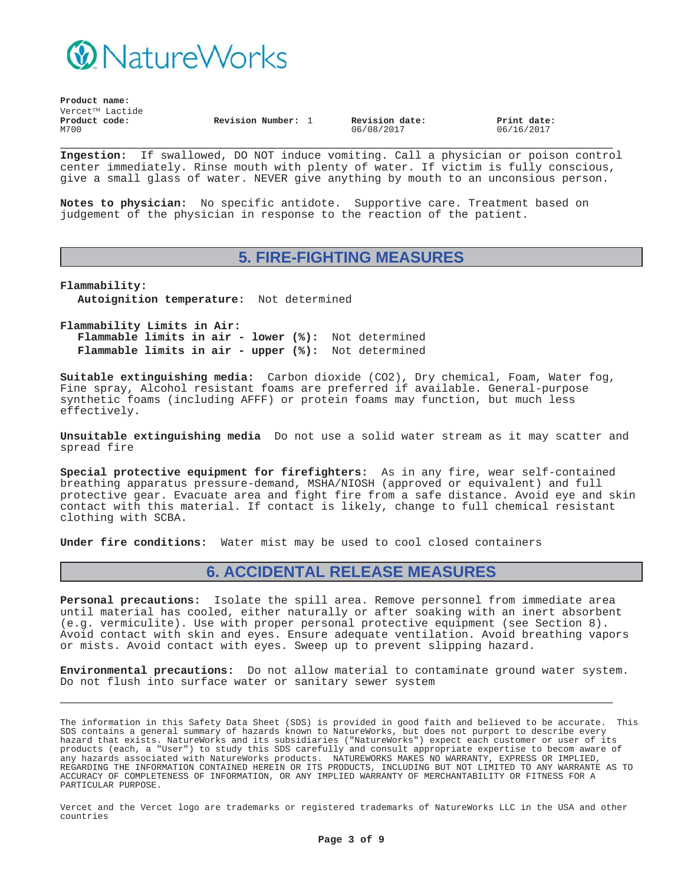

| Product name:         |                 |                    |  |                              |                           |  |
|-----------------------|-----------------|--------------------|--|------------------------------|---------------------------|--|
|                       | Vercet™ Lactide |                    |  |                              |                           |  |
| Product code:<br>M700 |                 | Revision Number: 1 |  | Revision date:<br>06/08/2017 | Print date:<br>06/16/2017 |  |

**\_\_\_\_\_\_\_\_\_\_\_\_\_\_\_\_\_\_\_\_\_\_\_\_\_\_\_\_\_\_\_\_\_\_\_\_\_\_\_\_\_\_\_\_\_\_\_\_\_\_\_\_\_\_\_\_\_\_\_ Ingestion:** If swallowed, DO NOT induce vomiting. Call a physician or poison control center immediately. Rinse mouth with plenty of water. If victim is fully conscious, give a small glass of water. NEVER give anything by mouth to an unconsious person.

**Notes to physician:** No specific antidote. Supportive care. Treatment based on judgement of the physician in response to the reaction of the patient.

### **5. FIRE-FIGHTING MEASURES**

**Flammability: Autoignition temperature:** Not determined

**Flammability Limits in Air: Flammable limits in air - lower (%):** Not determined **Flammable limits in air - upper (%):** Not determined

**Suitable extinguishing media:** Carbon dioxide (CO2), Dry chemical, Foam, Water fog, Fine spray, Alcohol resistant foams are preferred if available. General-purpose synthetic foams (including AFFF) or protein foams may function, but much less effectively.

**Unsuitable extinguishing media** Do not use a solid water stream as it may scatter and spread fire

**Special protective equipment for firefighters:** As in any fire, wear self-contained breathing apparatus pressure-demand, MSHA/NIOSH (approved or equivalent) and full protective gear. Evacuate area and fight fire from a safe distance. Avoid eye and skin contact with this material. If contact is likely, change to full chemical resistant clothing with SCBA.

**Under fire conditions:** Water mist may be used to cool closed containers

### **6. ACCIDENTAL RELEASE MEASURES**

**Personal precautions:** Isolate the spill area. Remove personnel from immediate area until material has cooled, either naturally or after soaking with an inert absorbent (e.g. vermiculite). Use with proper personal protective equipment (see Section 8). Avoid contact with skin and eyes. Ensure adequate ventilation. Avoid breathing vapors or mists. Avoid contact with eyes. Sweep up to prevent slipping hazard.

**Environmental precautions:** Do not allow material to contaminate ground water system. Do not flush into surface water or sanitary sewer system

**\_\_\_\_\_\_\_\_\_\_\_\_\_\_\_\_\_\_\_\_\_\_\_\_\_\_\_\_\_\_\_\_\_\_\_\_\_\_\_\_\_\_\_\_\_\_\_\_\_\_\_\_\_\_\_\_\_\_\_**

The information in this Safety Data Sheet (SDS) is provided in good faith and believed to be accurate. This SDS contains a general summary of hazards known to NatureWorks, but does not purport to describe every hazard that exists. NatureWorks and its subsidiaries ("NatureWorks") expect each customer or user of its products (each, a "User") to study this SDS carefully and consult appropriate expertise to becom aware of any hazards associated with NatureWorks products. NATUREWORKS MAKES NO WARRANTY, EXPRESS OR IMPLIED, REGARDING THE INFORMATION CONTAINED HEREIN OR ITS PRODUCTS, INCLUDING BUT NOT LIMITED TO ANY WARRANTE AS TO ACCURACY OF COMPLETENESS OF INFORMATION, OR ANY IMPLIED WARRANTY OF MERCHANTABILITY OR FITNESS FOR A PARTICULAR PURPOSE.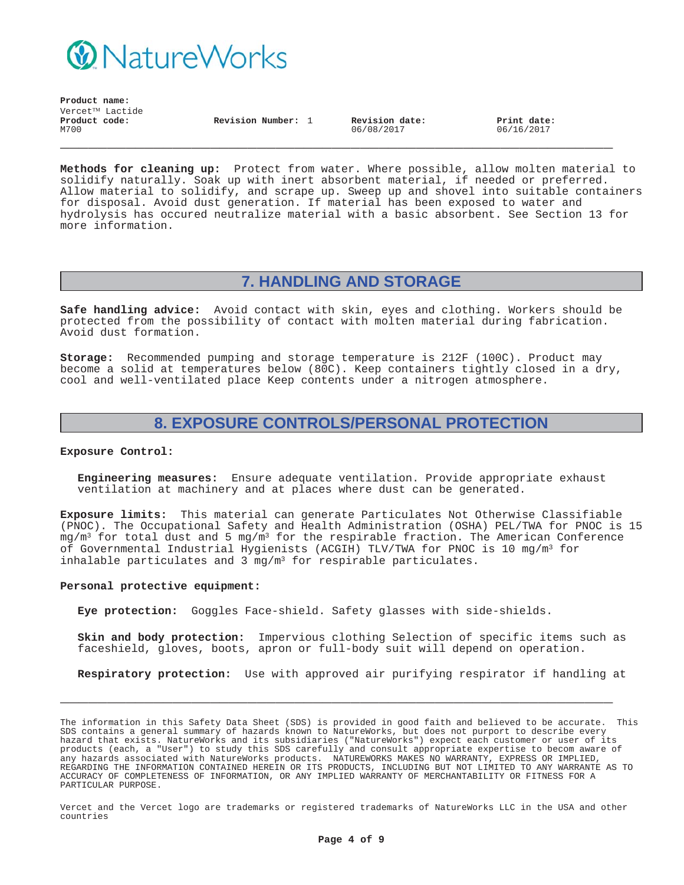

**Revision Number:** 1 **Revision date:** 06/08/2017

**Print date:** 06/16/2017

**Methods for cleaning up:** Protect from water. Where possible, allow molten material to solidify naturally. Soak up with inert absorbent material, if needed or preferred. Allow material to solidify, and scrape up. Sweep up and shovel into suitable containers for disposal. Avoid dust generation. If material has been exposed to water and hydrolysis has occured neutralize material with a basic absorbent. See Section 13 for more information.

**\_\_\_\_\_\_\_\_\_\_\_\_\_\_\_\_\_\_\_\_\_\_\_\_\_\_\_\_\_\_\_\_\_\_\_\_\_\_\_\_\_\_\_\_\_\_\_\_\_\_\_\_\_\_\_\_\_\_\_**

## **7. HANDLING AND STORAGE**

**Safe handling advice:** Avoid contact with skin, eyes and clothing. Workers should be protected from the possibility of contact with molten material during fabrication. Avoid dust formation.

**Storage:** Recommended pumping and storage temperature is 212F (100C). Product may become a solid at temperatures below (80C). Keep containers tightly closed in a dry, cool and well-ventilated place Keep contents under a nitrogen atmosphere.

## **8. EXPOSURE CONTROLS/PERSONAL PROTECTION**

#### **Exposure Control:**

**Engineering measures:** Ensure adequate ventilation. Provide appropriate exhaust ventilation at machinery and at places where dust can be generated.

**Exposure limits:** This material can generate Particulates Not Otherwise Classifiable (PNOC). The Occupational Safety and Health Administration (OSHA) PEL/TWA for PNOC is 15  $mg/m<sup>3</sup>$  for total dust and 5 mg/m<sup>3</sup> for the respirable fraction. The American Conference of Governmental Industrial Hygienists (ACGIH) TLV/TWA for PNOC is 10 mg/m3 for inhalable particulates and 3  $mq/m^3$  for respirable particulates.

#### **Personal protective equipment:**

**Eye protection:** Goggles Face-shield. Safety glasses with side-shields.

**Skin and body protection:** Impervious clothing Selection of specific items such as faceshield, gloves, boots, apron or full-body suit will depend on operation.

**Respiratory protection:** Use with approved air purifying respirator if handling at

**\_\_\_\_\_\_\_\_\_\_\_\_\_\_\_\_\_\_\_\_\_\_\_\_\_\_\_\_\_\_\_\_\_\_\_\_\_\_\_\_\_\_\_\_\_\_\_\_\_\_\_\_\_\_\_\_\_\_\_**

The information in this Safety Data Sheet (SDS) is provided in good faith and believed to be accurate. This SDS contains a general summary of hazards known to NatureWorks, but does not purport to describe every hazard that exists. NatureWorks and its subsidiaries ("NatureWorks") expect each customer or user of its products (each, a "User") to study this SDS carefully and consult appropriate expertise to becom aware of any hazards associated with NatureWorks products. NATUREWORKS MAKES NO WARRANTY, EXPRESS OR IMPLIED, REGARDING THE INFORMATION CONTAINED HEREIN OR ITS PRODUCTS, INCLUDING BUT NOT LIMITED TO ANY WARRANTE AS TO ACCURACY OF COMPLETENESS OF INFORMATION, OR ANY IMPLIED WARRANTY OF MERCHANTABILITY OR FITNESS FOR A PARTICULAR PURPOSE.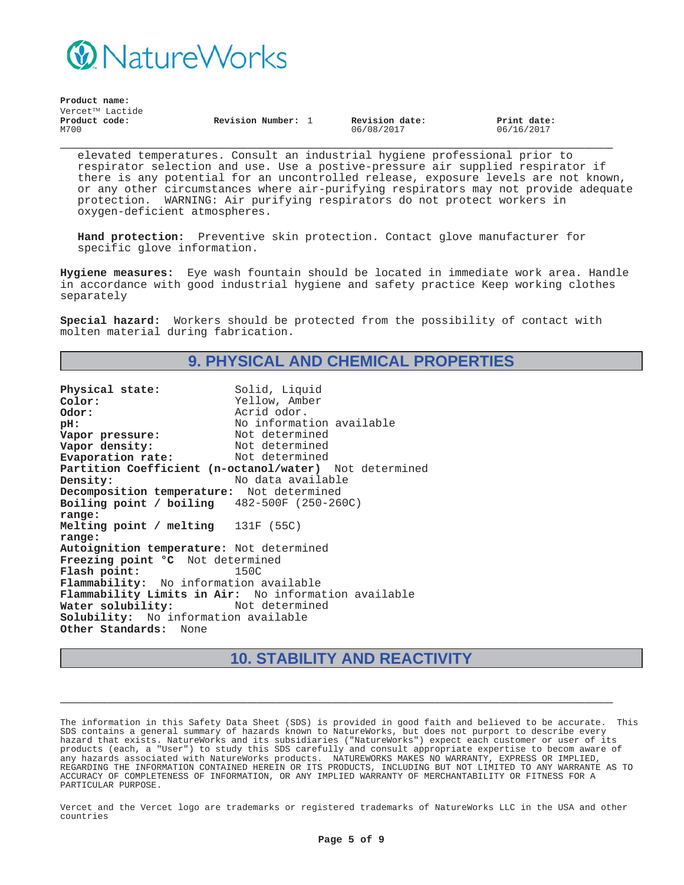

| Product name:   |                  |                |             |
|-----------------|------------------|----------------|-------------|
| Vercet™ Lactide |                  |                |             |
| Product code:   | Revision Number: | Revision date: | Print date: |
| M700            |                  | 06/08/2017     | 06/16/2017  |

**\_\_\_\_\_\_\_\_\_\_\_\_\_\_\_\_\_\_\_\_\_\_\_\_\_\_\_\_\_\_\_\_\_\_\_\_\_\_\_\_\_\_\_\_\_\_\_\_\_\_\_\_\_\_\_\_\_\_\_** elevated temperatures. Consult an industrial hygiene professional prior to respirator selection and use. Use a postive-pressure air supplied respirator if there is any potential for an uncontrolled release, exposure levels are not known, or any other circumstances where air-purifying respirators may not provide adequate protection. WARNING: Air purifying respirators do not protect workers in oxygen-deficient atmospheres.

**Hand protection:** Preventive skin protection. Contact glove manufacturer for specific glove information.

**Hygiene measures:** Eye wash fountain should be located in immediate work area. Handle in accordance with good industrial hygiene and safety practice Keep working clothes separately

**Special hazard:** Workers should be protected from the possibility of contact with molten material during fabrication.

## **9. PHYSICAL AND CHEMICAL PROPERTIES**

Physical state: Solid, Liquid **Color:** Yellow, Amber **Odor:** Acrid odor. **pH:**<br> **Vapor pressure:** Not determined<br>
Not determined **Vapor pressure:** Not determined<br> **Vapor density:** Not determined **Vapor density:** Not determined<br> **Evaporation rate:** Not determined **Evaporation rate: Partition Coefficient (n-octanol/water)** Not determined **Density:** No data available **Decomposition temperature:** Not determined **Boiling point / boiling range:** 482-500F (250-260C) **Melting point / melting range:** 131F (55C) **Autoignition temperature:** Not determined **Freezing point °C** Not determined **Flash point:** 150C **Flammability:** No information available **Flammability Limits in Air:** No information available Water solubility: **Solubility:** No information available **Other Standards:** None

## **10. STABILITY AND REACTIVITY**

**\_\_\_\_\_\_\_\_\_\_\_\_\_\_\_\_\_\_\_\_\_\_\_\_\_\_\_\_\_\_\_\_\_\_\_\_\_\_\_\_\_\_\_\_\_\_\_\_\_\_\_\_\_\_\_\_\_\_\_**

The information in this Safety Data Sheet (SDS) is provided in good faith and believed to be accurate. This SDS contains a general summary of hazards known to NatureWorks, but does not purport to describe every hazard that exists. NatureWorks and its subsidiaries ("NatureWorks") expect each customer or user of its products (each, a "User") to study this SDS carefully and consult appropriate expertise to becom aware of any hazards associated with NatureWorks products. NATUREWORKS MAKES NO WARRANTY, EXPRESS OR IMPLIED, REGARDING THE INFORMATION CONTAINED HEREIN OR ITS PRODUCTS, INCLUDING BUT NOT LIMITED TO ANY WARRANTE AS TO ACCURACY OF COMPLETENESS OF INFORMATION, OR ANY IMPLIED WARRANTY OF MERCHANTABILITY OR FITNESS FOR A PARTICULAR PURPOSE.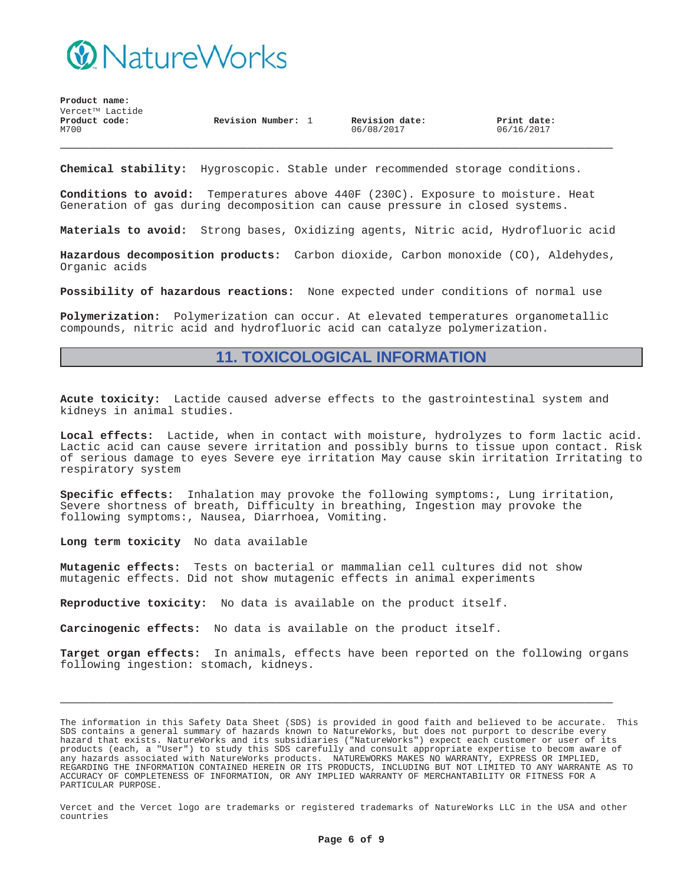

**Product name:**  $Vercet^{TM}$  Lactide **\_\_\_\_\_\_\_\_\_\_\_\_\_\_\_\_\_\_\_\_\_\_\_\_\_\_\_\_\_\_\_\_\_\_\_\_\_\_\_\_\_\_\_\_\_\_\_\_\_\_\_\_\_\_\_\_\_\_\_ Product code:** M700 **Revision Number:** 1 **Revision date:** 06/08/2017 **Print date:** 06/16/2017

**Chemical stability:** Hygroscopic. Stable under recommended storage conditions.

**Conditions to avoid:** Temperatures above 440F (230C). Exposure to moisture. Heat Generation of gas during decomposition can cause pressure in closed systems.

**Materials to avoid:** Strong bases, Oxidizing agents, Nitric acid, Hydrofluoric acid

**Hazardous decomposition products:** Carbon dioxide, Carbon monoxide (CO), Aldehydes, Organic acids

**Possibility of hazardous reactions:** None expected under conditions of normal use

**Polymerization:** Polymerization can occur. At elevated temperatures organometallic compounds, nitric acid and hydrofluoric acid can catalyze polymerization.

### **11. TOXICOLOGICAL INFORMATION**

**Acute toxicity:** Lactide caused adverse effects to the gastrointestinal system and kidneys in animal studies.

**Local effects:** Lactide, when in contact with moisture, hydrolyzes to form lactic acid. Lactic acid can cause severe irritation and possibly burns to tissue upon contact. Risk of serious damage to eyes Severe eye irritation May cause skin irritation Irritating to respiratory system

**Specific effects:** Inhalation may provoke the following symptoms:, Lung irritation, Severe shortness of breath, Difficulty in breathing, Ingestion may provoke the following symptoms:, Nausea, Diarrhoea, Vomiting.

**Long term toxicity** No data available

**Mutagenic effects:** Tests on bacterial or mammalian cell cultures did not show mutagenic effects. Did not show mutagenic effects in animal experiments

**Reproductive toxicity:** No data is available on the product itself.

**Carcinogenic effects:** No data is available on the product itself.

**Target organ effects:** In animals, effects have been reported on the following organs following ingestion: stomach, kidneys.

**\_\_\_\_\_\_\_\_\_\_\_\_\_\_\_\_\_\_\_\_\_\_\_\_\_\_\_\_\_\_\_\_\_\_\_\_\_\_\_\_\_\_\_\_\_\_\_\_\_\_\_\_\_\_\_\_\_\_\_**

The information in this Safety Data Sheet (SDS) is provided in good faith and believed to be accurate. This SDS contains a general summary of hazards known to NatureWorks, but does not purport to describe every hazard that exists. NatureWorks and its subsidiaries ("NatureWorks") expect each customer or user of its products (each, a "User") to study this SDS carefully and consult appropriate expertise to becom aware of any hazards associated with NatureWorks products. NATUREWORKS MAKES NO WARRANTY, EXPRESS OR IMPLIED, REGARDING THE INFORMATION CONTAINED HEREIN OR ITS PRODUCTS, INCLUDING BUT NOT LIMITED TO ANY WARRANTE AS TO ACCURACY OF COMPLETENESS OF INFORMATION, OR ANY IMPLIED WARRANTY OF MERCHANTABILITY OR FITNESS FOR A PARTICULAR PURPOSE.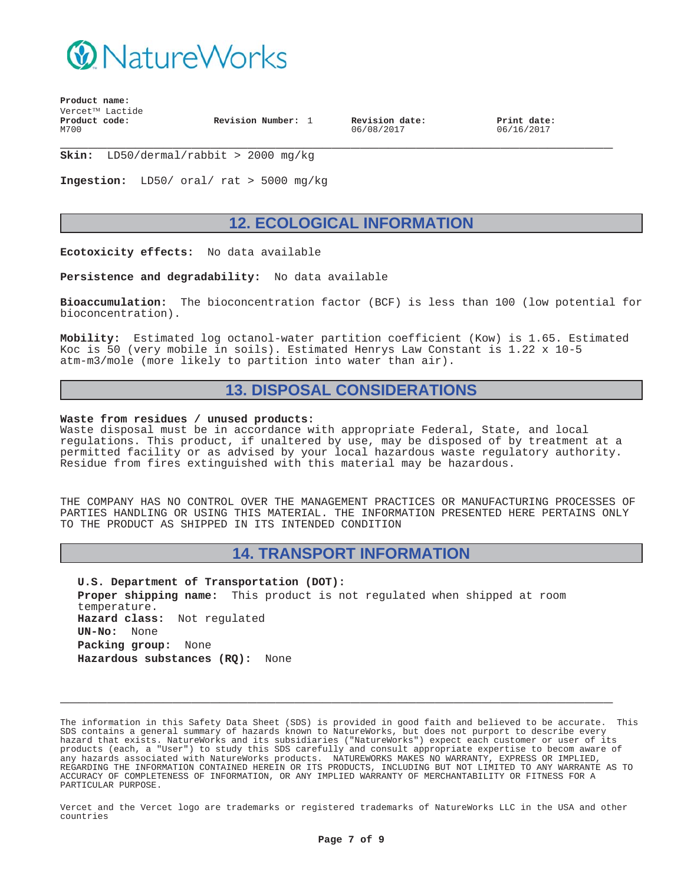

**Revision Number:** 1 **Revision date:**

06/08/2017

**Print date:** 06/16/2017

**\_\_\_\_\_\_\_\_\_\_\_\_\_\_\_\_\_\_\_\_\_\_\_\_\_\_\_\_\_\_\_\_\_\_\_\_\_\_\_\_\_\_\_\_\_\_\_\_\_\_\_\_\_\_\_\_\_\_\_ Skin:** LD50/dermal/rabbit > 2000 mg/kg

**Ingestion:** LD50/ oral/ rat > 5000 mg/kg

### **12. ECOLOGICAL INFORMATION**

**Ecotoxicity effects:** No data available

**Persistence and degradability:** No data available

**Bioaccumulation:** The bioconcentration factor (BCF) is less than 100 (low potential for bioconcentration).

**Mobility:** Estimated log octanol-water partition coefficient (Kow) is 1.65. Estimated Koc is 50 (very mobile in soils). Estimated Henrys Law Constant is 1.22 x 10-5 atm-m3/mole (more likely to partition into water than air).

### **13. DISPOSAL CONSIDERATIONS**

#### **Waste from residues / unused products:**

Waste disposal must be in accordance with appropriate Federal, State, and local regulations. This product, if unaltered by use, may be disposed of by treatment at a permitted facility or as advised by your local hazardous waste regulatory authority. Residue from fires extinguished with this material may be hazardous.

THE COMPANY HAS NO CONTROL OVER THE MANAGEMENT PRACTICES OR MANUFACTURING PROCESSES OF PARTIES HANDLING OR USING THIS MATERIAL. THE INFORMATION PRESENTED HERE PERTAINS ONLY TO THE PRODUCT AS SHIPPED IN ITS INTENDED CONDITION

### **14. TRANSPORT INFORMATION**

**U.S. Department of Transportation (DOT): Proper shipping name:** This product is not regulated when shipped at room temperature. **Hazard class:** Not regulated **UN-No:** None **Packing group:** None **Hazardous substances (RQ):** None

The information in this Safety Data Sheet (SDS) is provided in good faith and believed to be accurate. This SDS contains a general summary of hazards known to NatureWorks, but does not purport to describe every hazard that exists. NatureWorks and its subsidiaries ("NatureWorks") expect each customer or user of its products (each, a "User") to study this SDS carefully and consult appropriate expertise to becom aware of any hazards associated with NatureWorks products. NATUREWORKS MAKES NO WARRANTY, EXPRESS OR IMPLIED, REGARDING THE INFORMATION CONTAINED HEREIN OR ITS PRODUCTS, INCLUDING BUT NOT LIMITED TO ANY WARRANTE AS TO ACCURACY OF COMPLETENESS OF INFORMATION, OR ANY IMPLIED WARRANTY OF MERCHANTABILITY OR FITNESS FOR A PARTICULAR PURPOSE.

**\_\_\_\_\_\_\_\_\_\_\_\_\_\_\_\_\_\_\_\_\_\_\_\_\_\_\_\_\_\_\_\_\_\_\_\_\_\_\_\_\_\_\_\_\_\_\_\_\_\_\_\_\_\_\_\_\_\_\_**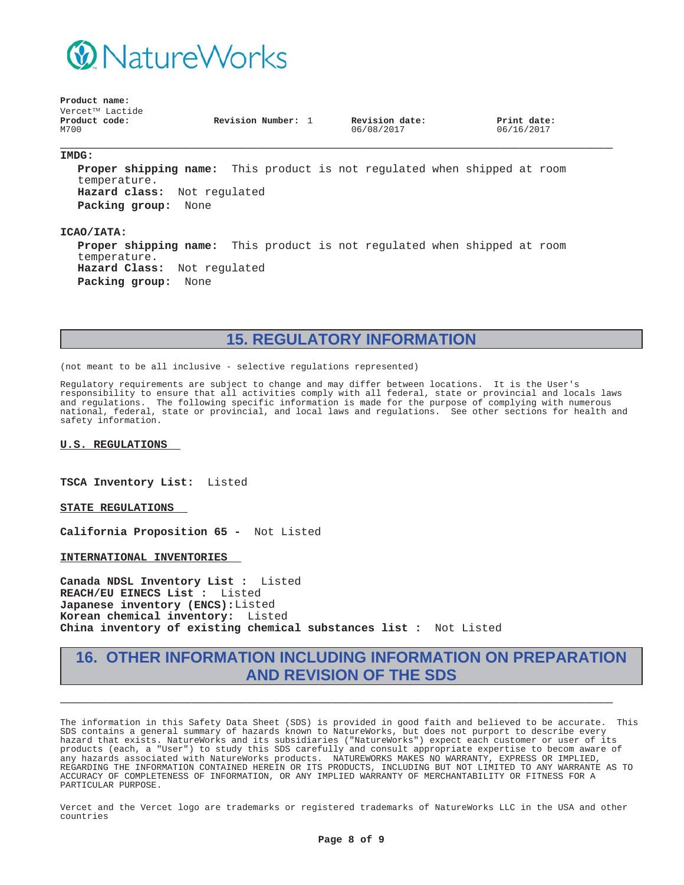

**Revision Number:** 1 **Revision date:**

06/08/2017

**Print date:** 06/16/2017

#### **\_\_\_\_\_\_\_\_\_\_\_\_\_\_\_\_\_\_\_\_\_\_\_\_\_\_\_\_\_\_\_\_\_\_\_\_\_\_\_\_\_\_\_\_\_\_\_\_\_\_\_\_\_\_\_\_\_\_\_ IMDG:**

**Proper shipping name:** This product is not regulated when shipped at room temperature. **Hazard class:** Not regulated **Packing group:** None

#### **ICAO/IATA:**

**Proper shipping name:** This product is not regulated when shipped at room temperature. **Hazard Class:** Not regulated **Packing group:** None

# **15. REGULATORY INFORMATION**

(not meant to be all inclusive - selective regulations represented)

Regulatory requirements are subject to change and may differ between locations. It is the User's responsibility to ensure that all activities comply with all federal, state or provincial and locals laws and regulations. The following specific information is made for the purpose of complying with numerous national, federal, state or provincial, and local laws and regulations. See other sections for health and safety information.

**U.S. REGULATIONS**

**TSCA Inventory List:** Listed

**STATE REGULATIONS**

**California Proposition 65 -** Not Listed

**INTERNATIONAL INVENTORIES**

**Canada NDSL Inventory List :** Listed **REACH/EU EINECS List :** Listed **Japanese inventory (ENCS):**Listed **Korean chemical inventory:** Listed **China inventory of existing chemical substances list :** Not Listed

## **16. OTHER INFORMATION INCLUDING INFORMATION ON PREPARATION AND REVISION OF THE SDS**

**\_\_\_\_\_\_\_\_\_\_\_\_\_\_\_\_\_\_\_\_\_\_\_\_\_\_\_\_\_\_\_\_\_\_\_\_\_\_\_\_\_\_\_\_\_\_\_\_\_\_\_\_\_\_\_\_\_\_\_**

The information in this Safety Data Sheet (SDS) is provided in good faith and believed to be accurate. This SDS contains a general summary of hazards known to NatureWorks, but does not purport to describe every hazard that exists. NatureWorks and its subsidiaries ("NatureWorks") expect each customer or user of its products (each, a "User") to study this SDS carefully and consult appropriate expertise to becom aware of any hazards associated with NatureWorks products. NATUREWORKS MAKES NO WARRANTY, EXPRESS OR IMPLIED, REGARDING THE INFORMATION CONTAINED HEREIN OR ITS PRODUCTS, INCLUDING BUT NOT LIMITED TO ANY WARRANTE AS TO ACCURACY OF COMPLETENESS OF INFORMATION, OR ANY IMPLIED WARRANTY OF MERCHANTABILITY OR FITNESS FOR A PARTICULAR PURPOSE.